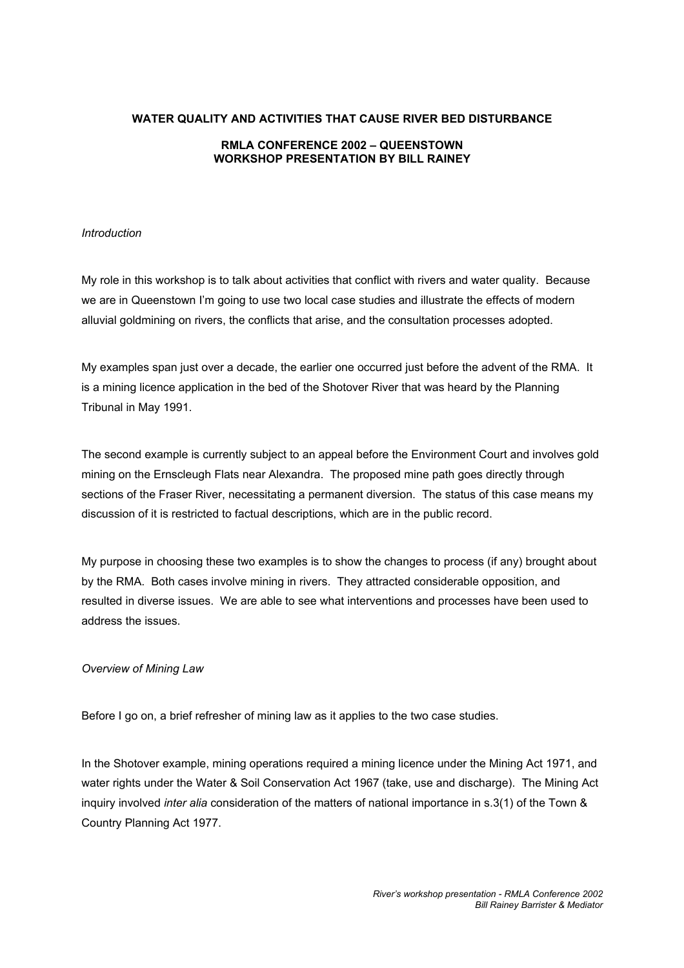### **WATER QUALITY AND ACTIVITIES THAT CAUSE RIVER BED DISTURBANCE**

### **RMLA CONFERENCE 2002 – QUEENSTOWN WORKSHOP PRESENTATION BY BILL RAINEY**

### *Introduction*

My role in this workshop is to talk about activities that conflict with rivers and water quality. Because we are in Queenstown I'm going to use two local case studies and illustrate the effects of modern alluvial goldmining on rivers, the conflicts that arise, and the consultation processes adopted.

My examples span just over a decade, the earlier one occurred just before the advent of the RMA. It is a mining licence application in the bed of the Shotover River that was heard by the Planning Tribunal in May 1991.

The second example is currently subject to an appeal before the Environment Court and involves gold mining on the Ernscleugh Flats near Alexandra. The proposed mine path goes directly through sections of the Fraser River, necessitating a permanent diversion. The status of this case means my discussion of it is restricted to factual descriptions, which are in the public record.

My purpose in choosing these two examples is to show the changes to process (if any) brought about by the RMA. Both cases involve mining in rivers. They attracted considerable opposition, and resulted in diverse issues. We are able to see what interventions and processes have been used to address the issues.

### *Overview of Mining Law*

Before I go on, a brief refresher of mining law as it applies to the two case studies.

In the Shotover example, mining operations required a mining licence under the Mining Act 1971, and water rights under the Water & Soil Conservation Act 1967 (take, use and discharge). The Mining Act inquiry involved *inter alia* consideration of the matters of national importance in s.3(1) of the Town & Country Planning Act 1977.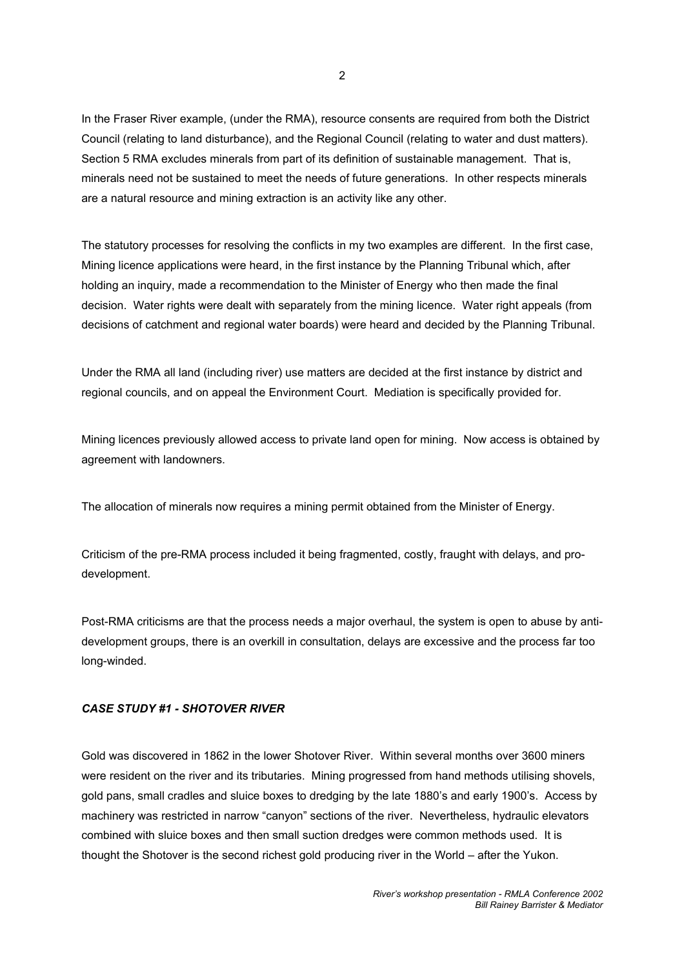In the Fraser River example, (under the RMA), resource consents are required from both the District Council (relating to land disturbance), and the Regional Council (relating to water and dust matters). Section 5 RMA excludes minerals from part of its definition of sustainable management. That is, minerals need not be sustained to meet the needs of future generations. In other respects minerals are a natural resource and mining extraction is an activity like any other.

The statutory processes for resolving the conflicts in my two examples are different. In the first case, Mining licence applications were heard, in the first instance by the Planning Tribunal which, after holding an inquiry, made a recommendation to the Minister of Energy who then made the final decision. Water rights were dealt with separately from the mining licence. Water right appeals (from decisions of catchment and regional water boards) were heard and decided by the Planning Tribunal.

Under the RMA all land (including river) use matters are decided at the first instance by district and regional councils, and on appeal the Environment Court. Mediation is specifically provided for.

Mining licences previously allowed access to private land open for mining. Now access is obtained by agreement with landowners.

The allocation of minerals now requires a mining permit obtained from the Minister of Energy.

Criticism of the pre-RMA process included it being fragmented, costly, fraught with delays, and prodevelopment.

Post-RMA criticisms are that the process needs a major overhaul, the system is open to abuse by antidevelopment groups, there is an overkill in consultation, delays are excessive and the process far too long-winded.

### *CASE STUDY #1 - SHOTOVER RIVER*

Gold was discovered in 1862 in the lower Shotover River. Within several months over 3600 miners were resident on the river and its tributaries. Mining progressed from hand methods utilising shovels, gold pans, small cradles and sluice boxes to dredging by the late 1880's and early 1900's. Access by machinery was restricted in narrow "canyon" sections of the river. Nevertheless, hydraulic elevators combined with sluice boxes and then small suction dredges were common methods used. It is thought the Shotover is the second richest gold producing river in the World – after the Yukon.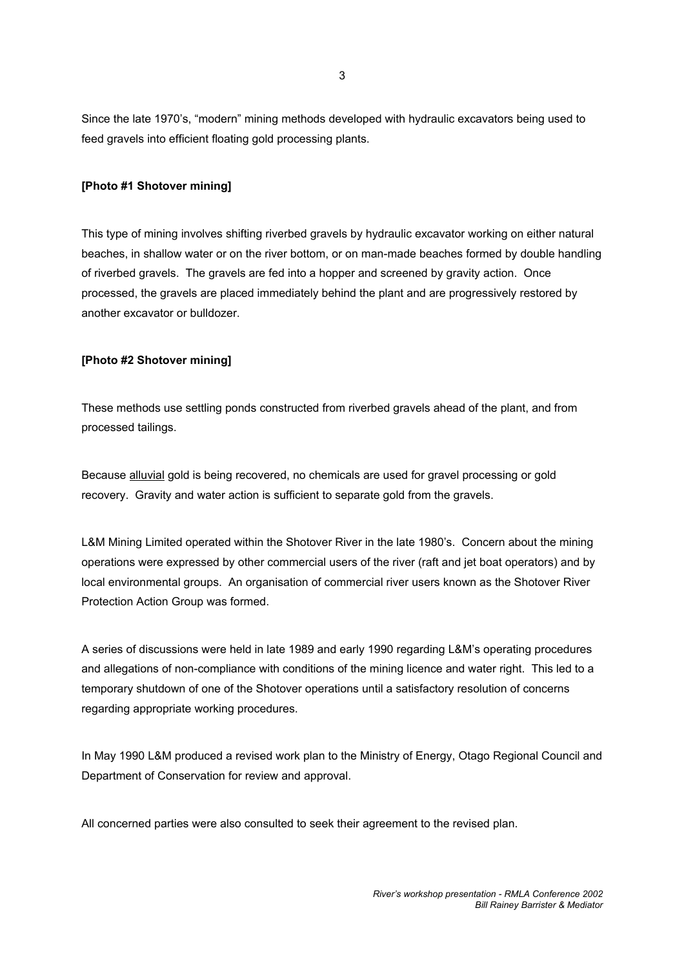Since the late 1970's, "modern" mining methods developed with hydraulic excavators being used to feed gravels into efficient floating gold processing plants.

### **[Photo #1 Shotover mining]**

This type of mining involves shifting riverbed gravels by hydraulic excavator working on either natural beaches, in shallow water or on the river bottom, or on man-made beaches formed by double handling of riverbed gravels. The gravels are fed into a hopper and screened by gravity action. Once processed, the gravels are placed immediately behind the plant and are progressively restored by another excavator or bulldozer.

### **[Photo #2 Shotover mining]**

These methods use settling ponds constructed from riverbed gravels ahead of the plant, and from processed tailings.

Because alluvial gold is being recovered, no chemicals are used for gravel processing or gold recovery. Gravity and water action is sufficient to separate gold from the gravels.

L&M Mining Limited operated within the Shotover River in the late 1980's. Concern about the mining operations were expressed by other commercial users of the river (raft and jet boat operators) and by local environmental groups. An organisation of commercial river users known as the Shotover River Protection Action Group was formed.

A series of discussions were held in late 1989 and early 1990 regarding L&M's operating procedures and allegations of non-compliance with conditions of the mining licence and water right. This led to a temporary shutdown of one of the Shotover operations until a satisfactory resolution of concerns regarding appropriate working procedures.

In May 1990 L&M produced a revised work plan to the Ministry of Energy, Otago Regional Council and Department of Conservation for review and approval.

All concerned parties were also consulted to seek their agreement to the revised plan.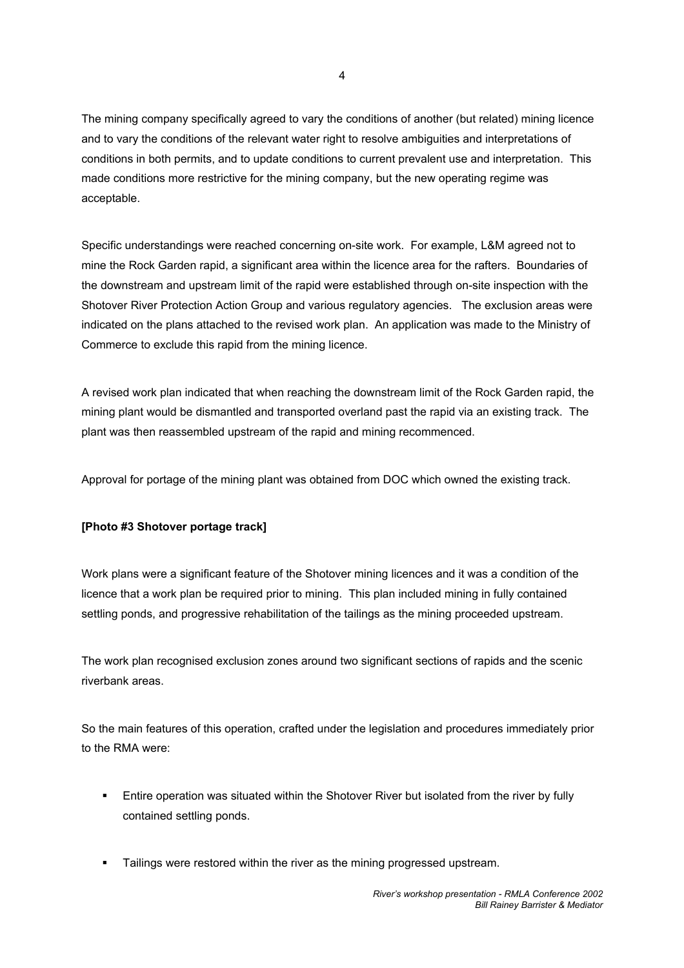The mining company specifically agreed to vary the conditions of another (but related) mining licence and to vary the conditions of the relevant water right to resolve ambiguities and interpretations of conditions in both permits, and to update conditions to current prevalent use and interpretation. This made conditions more restrictive for the mining company, but the new operating regime was acceptable.

Specific understandings were reached concerning on-site work. For example, L&M agreed not to mine the Rock Garden rapid, a significant area within the licence area for the rafters. Boundaries of the downstream and upstream limit of the rapid were established through on-site inspection with the Shotover River Protection Action Group and various regulatory agencies. The exclusion areas were indicated on the plans attached to the revised work plan. An application was made to the Ministry of Commerce to exclude this rapid from the mining licence.

A revised work plan indicated that when reaching the downstream limit of the Rock Garden rapid, the mining plant would be dismantled and transported overland past the rapid via an existing track. The plant was then reassembled upstream of the rapid and mining recommenced.

Approval for portage of the mining plant was obtained from DOC which owned the existing track.

# **[Photo #3 Shotover portage track]**

Work plans were a significant feature of the Shotover mining licences and it was a condition of the licence that a work plan be required prior to mining. This plan included mining in fully contained settling ponds, and progressive rehabilitation of the tailings as the mining proceeded upstream.

The work plan recognised exclusion zones around two significant sections of rapids and the scenic riverbank areas.

So the main features of this operation, crafted under the legislation and procedures immediately prior to the RMA were:

- **Entire operation was situated within the Shotover River but isolated from the river by fully** contained settling ponds.
- **Tailings were restored within the river as the mining progressed upstream.**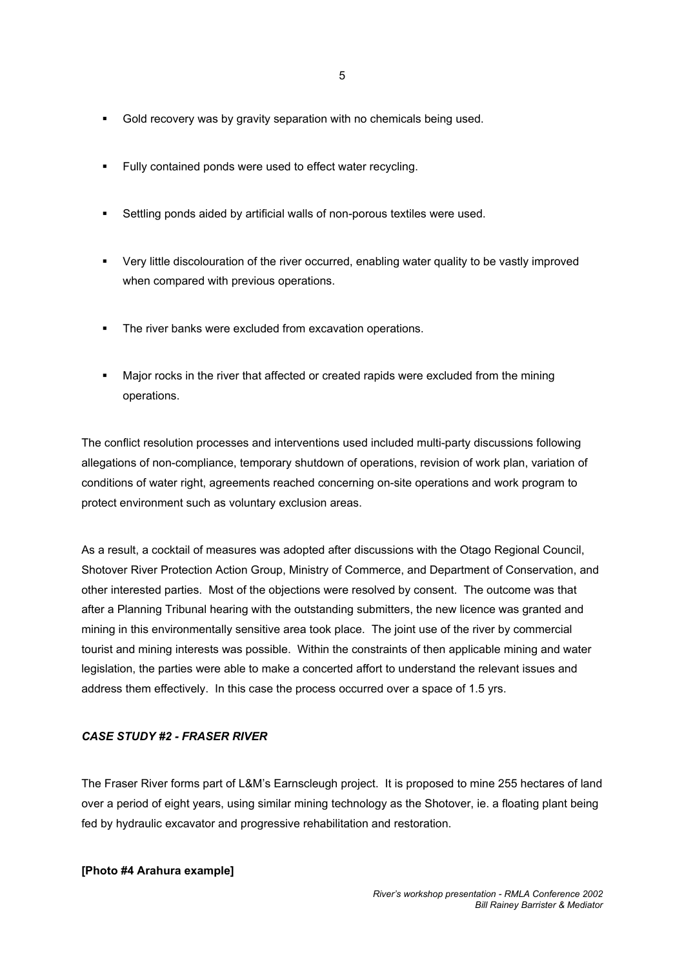- Gold recovery was by gravity separation with no chemicals being used.
- **Fully contained ponds were used to effect water recycling.**
- Settling ponds aided by artificial walls of non-porous textiles were used.
- Very little discolouration of the river occurred, enabling water quality to be vastly improved when compared with previous operations.
- The river banks were excluded from excavation operations.
- Major rocks in the river that affected or created rapids were excluded from the mining operations.

The conflict resolution processes and interventions used included multi-party discussions following allegations of non-compliance, temporary shutdown of operations, revision of work plan, variation of conditions of water right, agreements reached concerning on-site operations and work program to protect environment such as voluntary exclusion areas.

As a result, a cocktail of measures was adopted after discussions with the Otago Regional Council, Shotover River Protection Action Group, Ministry of Commerce, and Department of Conservation, and other interested parties. Most of the objections were resolved by consent. The outcome was that after a Planning Tribunal hearing with the outstanding submitters, the new licence was granted and mining in this environmentally sensitive area took place. The joint use of the river by commercial tourist and mining interests was possible. Within the constraints of then applicable mining and water legislation, the parties were able to make a concerted affort to understand the relevant issues and address them effectively. In this case the process occurred over a space of 1.5 yrs.

#### *CASE STUDY #2 - FRASER RIVER*

The Fraser River forms part of L&M's Earnscleugh project. It is proposed to mine 255 hectares of land over a period of eight years, using similar mining technology as the Shotover, ie. a floating plant being fed by hydraulic excavator and progressive rehabilitation and restoration.

**[Photo #4 Arahura example]**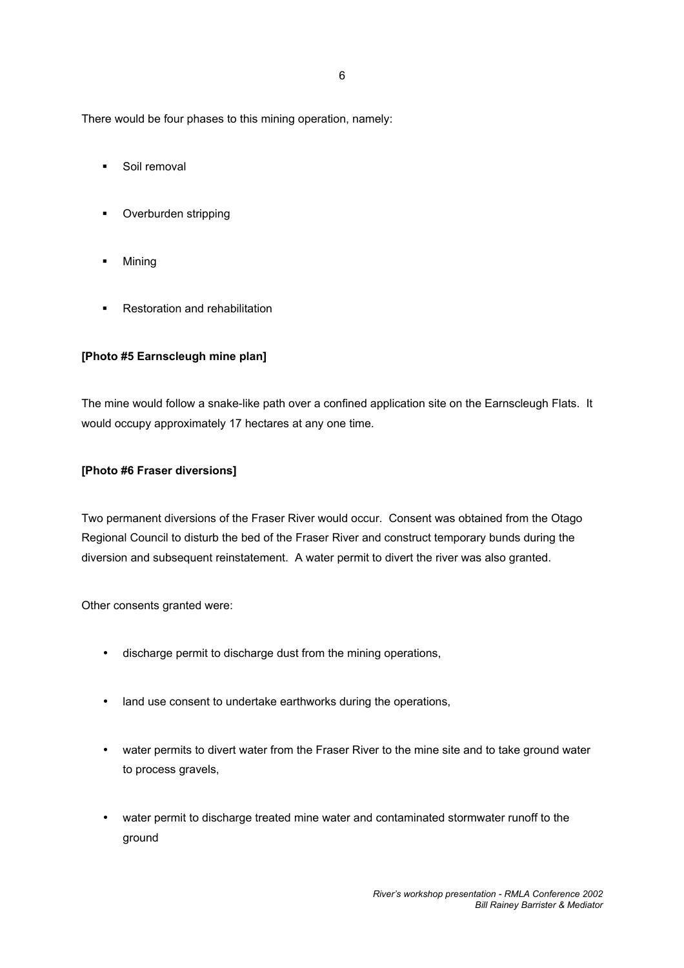6

There would be four phases to this mining operation, namely:

- **Soil removal**
- **•** Overburden stripping
- **-** Mining
- **Restoration and rehabilitation**

### **[Photo #5 Earnscleugh mine plan]**

The mine would follow a snake-like path over a confined application site on the Earnscleugh Flats. It would occupy approximately 17 hectares at any one time.

## **[Photo #6 Fraser diversions]**

Two permanent diversions of the Fraser River would occur. Consent was obtained from the Otago Regional Council to disturb the bed of the Fraser River and construct temporary bunds during the diversion and subsequent reinstatement. A water permit to divert the river was also granted.

Other consents granted were:

- discharge permit to discharge dust from the mining operations,
- land use consent to undertake earthworks during the operations,
- water permits to divert water from the Fraser River to the mine site and to take ground water to process gravels,
- water permit to discharge treated mine water and contaminated stormwater runoff to the ground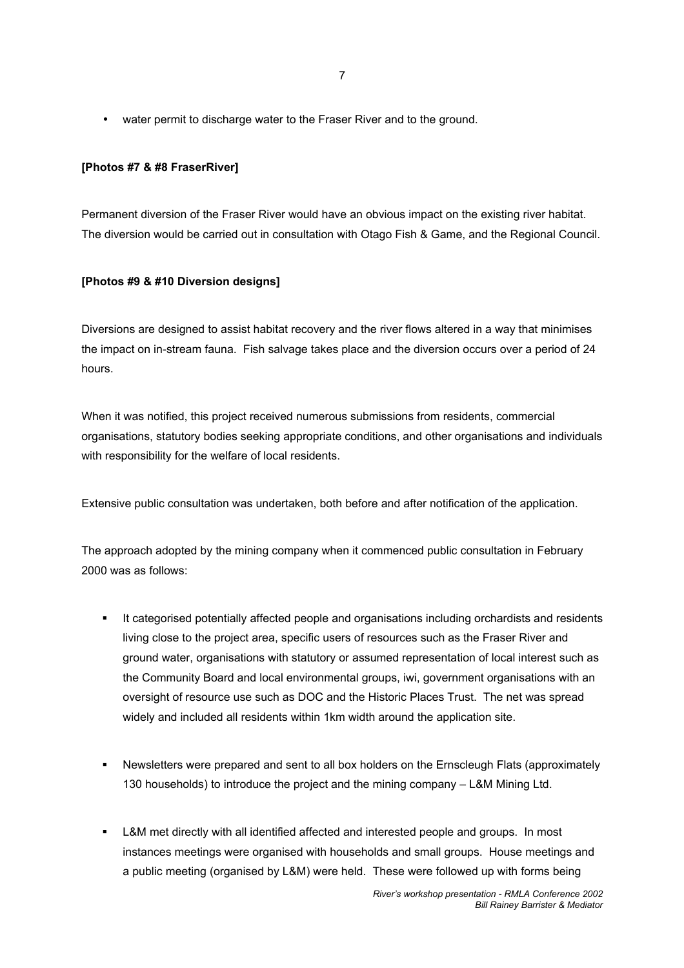• water permit to discharge water to the Fraser River and to the ground.

## **[Photos #7 & #8 FraserRiver]**

Permanent diversion of the Fraser River would have an obvious impact on the existing river habitat. The diversion would be carried out in consultation with Otago Fish & Game, and the Regional Council.

# **[Photos #9 & #10 Diversion designs]**

Diversions are designed to assist habitat recovery and the river flows altered in a way that minimises the impact on in-stream fauna. Fish salvage takes place and the diversion occurs over a period of 24 hours.

When it was notified, this project received numerous submissions from residents, commercial organisations, statutory bodies seeking appropriate conditions, and other organisations and individuals with responsibility for the welfare of local residents.

Extensive public consultation was undertaken, both before and after notification of the application.

The approach adopted by the mining company when it commenced public consultation in February 2000 was as follows:

- It categorised potentially affected people and organisations including orchardists and residents living close to the project area, specific users of resources such as the Fraser River and ground water, organisations with statutory or assumed representation of local interest such as the Community Board and local environmental groups, iwi, government organisations with an oversight of resource use such as DOC and the Historic Places Trust. The net was spread widely and included all residents within 1km width around the application site.
- Newsletters were prepared and sent to all box holders on the Ernscleugh Flats (approximately 130 households) to introduce the project and the mining company – L&M Mining Ltd.
- **-** L&M met directly with all identified affected and interested people and groups. In most instances meetings were organised with households and small groups. House meetings and a public meeting (organised by L&M) were held. These were followed up with forms being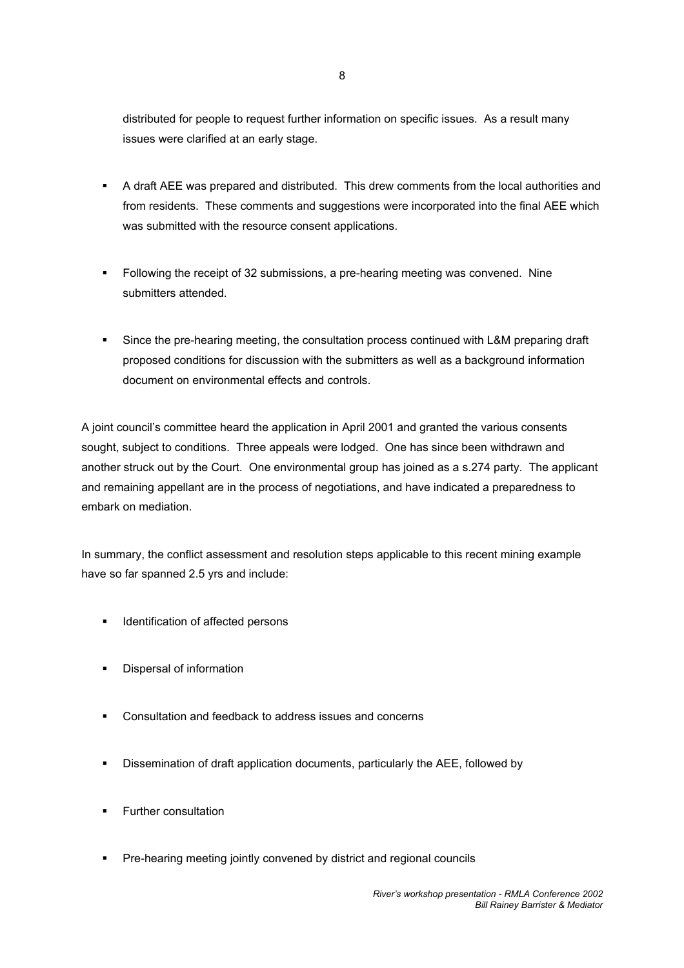distributed for people to request further information on specific issues. As a result many issues were clarified at an early stage.

- A draft AEE was prepared and distributed. This drew comments from the local authorities and from residents. These comments and suggestions were incorporated into the final AEE which was submitted with the resource consent applications.
- Following the receipt of 32 submissions, a pre-hearing meeting was convened. Nine submitters attended.
- Since the pre-hearing meeting, the consultation process continued with L&M preparing draft proposed conditions for discussion with the submitters as well as a background information document on environmental effects and controls.

A joint council's committee heard the application in April 2001 and granted the various consents sought, subject to conditions. Three appeals were lodged. One has since been withdrawn and another struck out by the Court. One environmental group has joined as a s.274 party. The applicant and remaining appellant are in the process of negotiations, and have indicated a preparedness to embark on mediation.

In summary, the conflict assessment and resolution steps applicable to this recent mining example have so far spanned 2.5 yrs and include:

- **IDENTIFICATED IN A LOCATE 1** Identification of affected persons
- **•** Dispersal of information
- Consultation and feedback to address issues and concerns
- Dissemination of draft application documents, particularly the AEE, followed by
- Further consultation
- **Pre-hearing meeting jointly convened by district and regional councils**